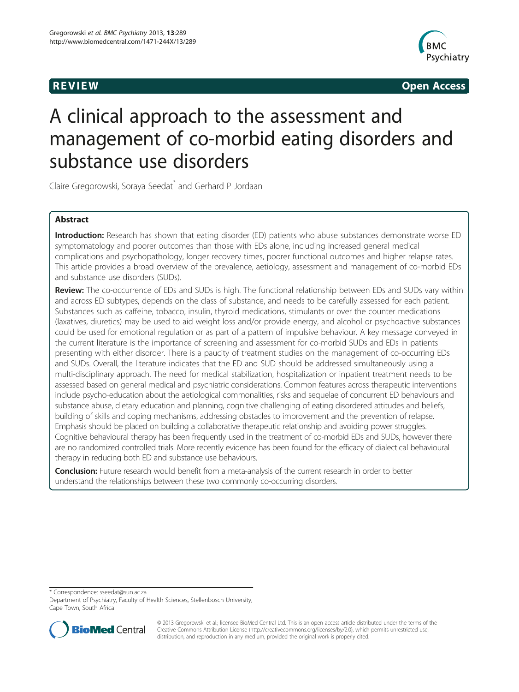

**REVIEW REVIEW CONSTRUCTER ACCESS** 

# A clinical approach to the assessment and management of co-morbid eating disorders and substance use disorders

Claire Gregorowski, Soraya Seedat\* and Gerhard P Jordaan

# Abstract

Introduction: Research has shown that eating disorder (ED) patients who abuse substances demonstrate worse ED symptomatology and poorer outcomes than those with EDs alone, including increased general medical complications and psychopathology, longer recovery times, poorer functional outcomes and higher relapse rates. This article provides a broad overview of the prevalence, aetiology, assessment and management of co-morbid EDs and substance use disorders (SUDs).

Review: The co-occurrence of EDs and SUDs is high. The functional relationship between EDs and SUDs vary within and across ED subtypes, depends on the class of substance, and needs to be carefully assessed for each patient. Substances such as caffeine, tobacco, insulin, thyroid medications, stimulants or over the counter medications (laxatives, diuretics) may be used to aid weight loss and/or provide energy, and alcohol or psychoactive substances could be used for emotional regulation or as part of a pattern of impulsive behaviour. A key message conveyed in the current literature is the importance of screening and assessment for co-morbid SUDs and EDs in patients presenting with either disorder. There is a paucity of treatment studies on the management of co-occurring EDs and SUDs. Overall, the literature indicates that the ED and SUD should be addressed simultaneously using a multi-disciplinary approach. The need for medical stabilization, hospitalization or inpatient treatment needs to be assessed based on general medical and psychiatric considerations. Common features across therapeutic interventions include psycho-education about the aetiological commonalities, risks and sequelae of concurrent ED behaviours and substance abuse, dietary education and planning, cognitive challenging of eating disordered attitudes and beliefs, building of skills and coping mechanisms, addressing obstacles to improvement and the prevention of relapse. Emphasis should be placed on building a collaborative therapeutic relationship and avoiding power struggles. Cognitive behavioural therapy has been frequently used in the treatment of co-morbid EDs and SUDs, however there are no randomized controlled trials. More recently evidence has been found for the efficacy of dialectical behavioural therapy in reducing both ED and substance use behaviours.

**Conclusion:** Future research would benefit from a meta-analysis of the current research in order to better understand the relationships between these two commonly co-occurring disorders.

\* Correspondence: [sseedat@sun.ac.za](mailto:sseedat@sun.ac.za)

Department of Psychiatry, Faculty of Health Sciences, Stellenbosch University, Cape Town, South Africa



© 2013 Gregorowski et al.; licensee BioMed Central Ltd. This is an open access article distributed under the terms of the Creative Commons Attribution License (<http://creativecommons.org/licenses/by/2.0>), which permits unrestricted use, distribution, and reproduction in any medium, provided the original work is properly cited.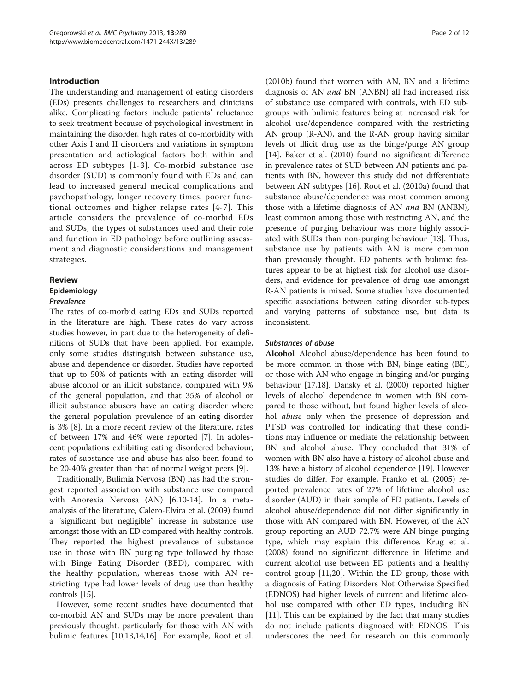#### Introduction

The understanding and management of eating disorders (EDs) presents challenges to researchers and clinicians alike. Complicating factors include patients' reluctance to seek treatment because of psychological investment in maintaining the disorder, high rates of co-morbidity with other Axis I and II disorders and variations in symptom presentation and aetiological factors both within and across ED subtypes [[1](#page-9-0)-[3](#page-9-0)]. Co-morbid substance use disorder (SUD) is commonly found with EDs and can lead to increased general medical complications and psychopathology, longer recovery times, poorer functional outcomes and higher relapse rates [\[4](#page-9-0)-[7](#page-9-0)]. This article considers the prevalence of co-morbid EDs and SUDs, the types of substances used and their role and function in ED pathology before outlining assessment and diagnostic considerations and management strategies.

#### Review

# Epidemiology

#### Prevalence

The rates of co-morbid eating EDs and SUDs reported in the literature are high. These rates do vary across studies however, in part due to the heterogeneity of definitions of SUDs that have been applied. For example, only some studies distinguish between substance use, abuse and dependence or disorder. Studies have reported that up to 50% of patients with an eating disorder will abuse alcohol or an illicit substance, compared with 9% of the general population, and that 35% of alcohol or illicit substance abusers have an eating disorder where the general population prevalence of an eating disorder is 3% [[8](#page-9-0)]. In a more recent review of the literature, rates of between 17% and 46% were reported [\[7\]](#page-9-0). In adolescent populations exhibiting eating disordered behaviour, rates of substance use and abuse has also been found to be 20-40% greater than that of normal weight peers [[9](#page-9-0)].

Traditionally, Bulimia Nervosa (BN) has had the strongest reported association with substance use compared with Anorexia Nervosa (AN) [\[6,10](#page-9-0)-[14\]](#page-9-0). In a metaanalysis of the literature, Calero-Elvira et al. (2009) found a "significant but negligible" increase in substance use amongst those with an ED compared with healthy controls. They reported the highest prevalence of substance use in those with BN purging type followed by those with Binge Eating Disorder (BED), compared with the healthy population, whereas those with AN restricting type had lower levels of drug use than healthy controls [[15\]](#page-9-0).

However, some recent studies have documented that co-morbid AN and SUDs may be more prevalent than previously thought, particularly for those with AN with bulimic features [\[10,13,14,16](#page-9-0)]. For example, Root et al.

(2010b) found that women with AN, BN and a lifetime diagnosis of AN and BN (ANBN) all had increased risk of substance use compared with controls, with ED subgroups with bulimic features being at increased risk for alcohol use/dependence compared with the restricting AN group (R-AN), and the R-AN group having similar levels of illicit drug use as the binge/purge AN group [[14\]](#page-9-0). Baker et al. (2010) found no significant difference in prevalence rates of SUD between AN patients and patients with BN, however this study did not differentiate between AN subtypes [[16\]](#page-9-0). Root et al. (2010a) found that substance abuse/dependence was most common among those with a lifetime diagnosis of AN and BN (ANBN), least common among those with restricting AN, and the presence of purging behaviour was more highly associated with SUDs than non-purging behaviour [[13\]](#page-9-0). Thus, substance use by patients with AN is more common than previously thought, ED patients with bulimic features appear to be at highest risk for alcohol use disorders, and evidence for prevalence of drug use amongst R-AN patients is mixed. Some studies have documented specific associations between eating disorder sub-types and varying patterns of substance use, but data is inconsistent.

#### Substances of abuse

Alcohol Alcohol abuse/dependence has been found to be more common in those with BN, binge eating (BE), or those with AN who engage in binging and/or purging behaviour [\[17,18](#page-9-0)]. Dansky et al. (2000) reported higher levels of alcohol dependence in women with BN compared to those without, but found higher levels of alcohol abuse only when the presence of depression and PTSD was controlled for, indicating that these conditions may influence or mediate the relationship between BN and alcohol abuse. They concluded that 31% of women with BN also have a history of alcohol abuse and 13% have a history of alcohol dependence [[19](#page-10-0)]. However studies do differ. For example, Franko et al. (2005) reported prevalence rates of 27% of lifetime alcohol use disorder (AUD) in their sample of ED patients. Levels of alcohol abuse/dependence did not differ significantly in those with AN compared with BN. However, of the AN group reporting an AUD 72.7% were AN binge purging type, which may explain this difference. Krug et al. (2008) found no significant difference in lifetime and current alcohol use between ED patients and a healthy control group [[11,](#page-9-0)[20\]](#page-10-0). Within the ED group, those with a diagnosis of Eating Disorders Not Otherwise Specified (EDNOS) had higher levels of current and lifetime alcohol use compared with other ED types, including BN [[11\]](#page-9-0). This can be explained by the fact that many studies do not include patients diagnosed with EDNOS. This underscores the need for research on this commonly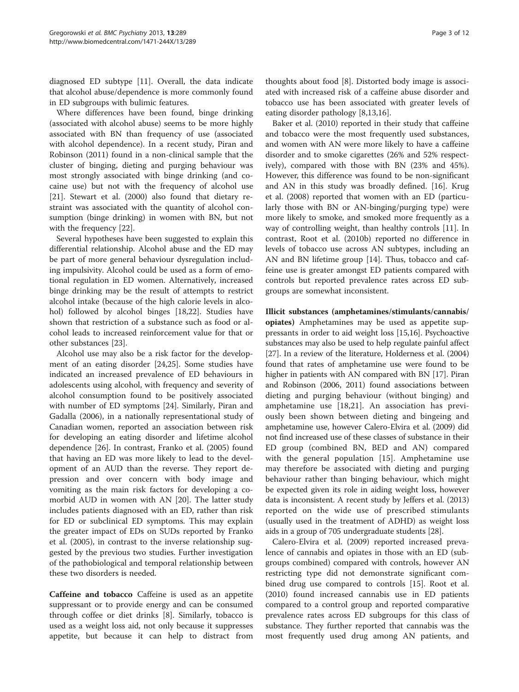diagnosed ED subtype [\[11](#page-9-0)]. Overall, the data indicate that alcohol abuse/dependence is more commonly found in ED subgroups with bulimic features.

Where differences have been found, binge drinking (associated with alcohol abuse) seems to be more highly associated with BN than frequency of use (associated with alcohol dependence). In a recent study, Piran and Robinson (2011) found in a non-clinical sample that the cluster of binging, dieting and purging behaviour was most strongly associated with binge drinking (and cocaine use) but not with the frequency of alcohol use [[21\]](#page-10-0). Stewart et al. (2000) also found that dietary restraint was associated with the quantity of alcohol consumption (binge drinking) in women with BN, but not with the frequency [[22](#page-10-0)].

Several hypotheses have been suggested to explain this differential relationship. Alcohol abuse and the ED may be part of more general behaviour dysregulation including impulsivity. Alcohol could be used as a form of emotional regulation in ED women. Alternatively, increased binge drinking may be the result of attempts to restrict alcohol intake (because of the high calorie levels in alcohol) followed by alcohol binges [\[18,](#page-9-0)[22\]](#page-10-0). Studies have shown that restriction of a substance such as food or alcohol leads to increased reinforcement value for that or other substances [[23\]](#page-10-0).

Alcohol use may also be a risk factor for the development of an eating disorder [\[24,25\]](#page-10-0). Some studies have indicated an increased prevalence of ED behaviours in adolescents using alcohol, with frequency and severity of alcohol consumption found to be positively associated with number of ED symptoms [\[24\]](#page-10-0). Similarly, Piran and Gadalla (2006), in a nationally representational study of Canadian women, reported an association between risk for developing an eating disorder and lifetime alcohol dependence [[26\]](#page-10-0). In contrast, Franko et al. (2005) found that having an ED was more likely to lead to the development of an AUD than the reverse. They report depression and over concern with body image and vomiting as the main risk factors for developing a comorbid AUD in women with AN [\[20](#page-10-0)]. The latter study includes patients diagnosed with an ED, rather than risk for ED or subclinical ED symptoms. This may explain the greater impact of EDs on SUDs reported by Franko et al. (2005), in contrast to the inverse relationship suggested by the previous two studies. Further investigation of the pathobiological and temporal relationship between these two disorders is needed.

Caffeine and tobacco Caffeine is used as an appetite suppressant or to provide energy and can be consumed through coffee or diet drinks [\[8\]](#page-9-0). Similarly, tobacco is used as a weight loss aid, not only because it suppresses appetite, but because it can help to distract from

thoughts about food [\[8](#page-9-0)]. Distorted body image is associated with increased risk of a caffeine abuse disorder and tobacco use has been associated with greater levels of eating disorder pathology [[8,13,16\]](#page-9-0).

Baker et al. (2010) reported in their study that caffeine and tobacco were the most frequently used substances, and women with AN were more likely to have a caffeine disorder and to smoke cigarettes (26% and 52% respectively), compared with those with BN (23% and 45%). However, this difference was found to be non-significant and AN in this study was broadly defined. [\[16](#page-9-0)]. Krug et al. (2008) reported that women with an ED (particularly those with BN or AN-binging/purging type) were more likely to smoke, and smoked more frequently as a way of controlling weight, than healthy controls [\[11](#page-9-0)]. In contrast, Root et al. (2010b) reported no difference in levels of tobacco use across AN subtypes, including an AN and BN lifetime group [[14](#page-9-0)]. Thus, tobacco and caffeine use is greater amongst ED patients compared with controls but reported prevalence rates across ED subgroups are somewhat inconsistent.

Illicit substances (amphetamines/stimulants/cannabis/ opiates) Amphetamines may be used as appetite suppressants in order to aid weight loss [\[15,16\]](#page-9-0). Psychoactive substances may also be used to help regulate painful affect [[27](#page-10-0)]. In a review of the literature, Holderness et al. (2004) found that rates of amphetamine use were found to be higher in patients with AN compared with BN [[17](#page-9-0)]. Piran and Robinson (2006, 2011) found associations between dieting and purging behaviour (without binging) and amphetamine use [\[18](#page-9-0),[21\]](#page-10-0). An association has previously been shown between dieting and bingeing and amphetamine use, however Calero-Elvira et al. (2009) did not find increased use of these classes of substance in their ED group (combined BN, BED and AN) compared with the general population [\[15](#page-9-0)]. Amphetamine use may therefore be associated with dieting and purging behaviour rather than binging behaviour, which might be expected given its role in aiding weight loss, however data is inconsistent. A recent study by Jeffers et al. (2013) reported on the wide use of prescribed stimulants (usually used in the treatment of ADHD) as weight loss aids in a group of 705 undergraduate students [\[28\]](#page-10-0).

Calero-Elvira et al. (2009) reported increased prevalence of cannabis and opiates in those with an ED (subgroups combined) compared with controls, however AN restricting type did not demonstrate significant combined drug use compared to controls [\[15](#page-9-0)]. Root et al. (2010) found increased cannabis use in ED patients compared to a control group and reported comparative prevalence rates across ED subgroups for this class of substance. They further reported that cannabis was the most frequently used drug among AN patients, and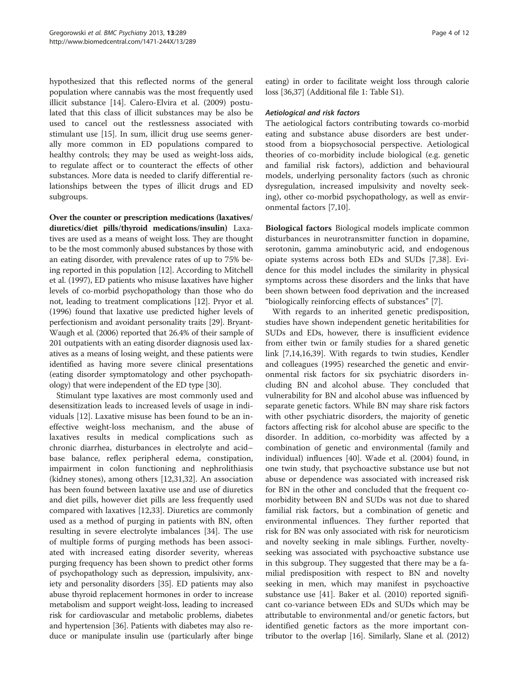hypothesized that this reflected norms of the general population where cannabis was the most frequently used illicit substance [\[14](#page-9-0)]. Calero-Elvira et al. (2009) postulated that this class of illicit substances may be also be used to cancel out the restlessness associated with stimulant use [\[15\]](#page-9-0). In sum, illicit drug use seems generally more common in ED populations compared to healthy controls; they may be used as weight-loss aids, to regulate affect or to counteract the effects of other substances. More data is needed to clarify differential relationships between the types of illicit drugs and ED subgroups.

Over the counter or prescription medications (laxatives/ diuretics/diet pills/thyroid medications/insulin) Laxatives are used as a means of weight loss. They are thought to be the most commonly abused substances by those with an eating disorder, with prevalence rates of up to 75% being reported in this population [[12\]](#page-9-0). According to Mitchell et al. (1997), ED patients who misuse laxatives have higher levels of co-morbid psychopathology than those who do not, leading to treatment complications [\[12\]](#page-9-0). Pryor et al. (1996) found that laxative use predicted higher levels of perfectionism and avoidant personality traits [[29\]](#page-10-0). Bryant-Waugh et al. (2006) reported that 26.4% of their sample of 201 outpatients with an eating disorder diagnosis used laxatives as a means of losing weight, and these patients were identified as having more severe clinical presentations (eating disorder symptomatology and other psychopathology) that were independent of the ED type [\[30\]](#page-10-0).

Stimulant type laxatives are most commonly used and desensitization leads to increased levels of usage in individuals [\[12\]](#page-9-0). Laxative misuse has been found to be an ineffective weight-loss mechanism, and the abuse of laxatives results in medical complications such as chronic diarrhea, disturbances in electrolyte and acid– base balance, reflex peripheral edema, constipation, impairment in colon functioning and nephrolithiasis (kidney stones), among others [[12](#page-9-0),[31](#page-10-0),[32](#page-10-0)]. An association has been found between laxative use and use of diuretics and diet pills, however diet pills are less frequently used compared with laxatives [[12,](#page-9-0)[33\]](#page-10-0). Diuretics are commonly used as a method of purging in patients with BN, often resulting in severe electrolyte imbalances [\[34](#page-10-0)]. The use of multiple forms of purging methods has been associated with increased eating disorder severity, whereas purging frequency has been shown to predict other forms of psychopathology such as depression, impulsivity, anxiety and personality disorders [\[35\]](#page-10-0). ED patients may also abuse thyroid replacement hormones in order to increase metabolism and support weight-loss, leading to increased risk for cardiovascular and metabolic problems, diabetes and hypertension [\[36\]](#page-10-0). Patients with diabetes may also reduce or manipulate insulin use (particularly after binge

eating) in order to facilitate weight loss through calorie loss [\[36,37\]](#page-10-0) (Additional file [1:](#page-9-0) Table S1).

## Aetiological and risk factors

The aetiological factors contributing towards co-morbid eating and substance abuse disorders are best understood from a biopsychosocial perspective. Aetiological theories of co-morbidity include biological (e.g. genetic and familial risk factors), addiction and behavioural models, underlying personality factors (such as chronic dysregulation, increased impulsivity and novelty seeking), other co-morbid psychopathology, as well as environmental factors [[7,10\]](#page-9-0).

Biological factors Biological models implicate common disturbances in neurotransmitter function in dopamine, serotonin, gamma aminobutyric acid, and endogenous opiate systems across both EDs and SUDs [[7,](#page-9-0)[38\]](#page-10-0). Evidence for this model includes the similarity in physical symptoms across these disorders and the links that have been shown between food deprivation and the increased "biologically reinforcing effects of substances" [\[7](#page-9-0)].

With regards to an inherited genetic predisposition, studies have shown independent genetic heritabilities for SUDs and EDs, however, there is insufficient evidence from either twin or family studies for a shared genetic link [[7](#page-9-0),[14](#page-9-0),[16](#page-9-0)[,39](#page-10-0)]. With regards to twin studies, Kendler and colleagues (1995) researched the genetic and environmental risk factors for six psychiatric disorders including BN and alcohol abuse. They concluded that vulnerability for BN and alcohol abuse was influenced by separate genetic factors. While BN may share risk factors with other psychiatric disorders, the majority of genetic factors affecting risk for alcohol abuse are specific to the disorder. In addition, co-morbidity was affected by a combination of genetic and environmental (family and individual) influences [\[40\]](#page-10-0). Wade et al. (2004) found, in one twin study, that psychoactive substance use but not abuse or dependence was associated with increased risk for BN in the other and concluded that the frequent comorbidity between BN and SUDs was not due to shared familial risk factors, but a combination of genetic and environmental influences. They further reported that risk for BN was only associated with risk for neuroticism and novelty seeking in male siblings. Further, noveltyseeking was associated with psychoactive substance use in this subgroup. They suggested that there may be a familial predisposition with respect to BN and novelty seeking in men, which may manifest in psychoactive substance use [[41](#page-10-0)]. Baker et al. (2010) reported significant co-variance between EDs and SUDs which may be attributable to environmental and/or genetic factors, but identified genetic factors as the more important contributor to the overlap [\[16\]](#page-9-0). Similarly, Slane et al. (2012)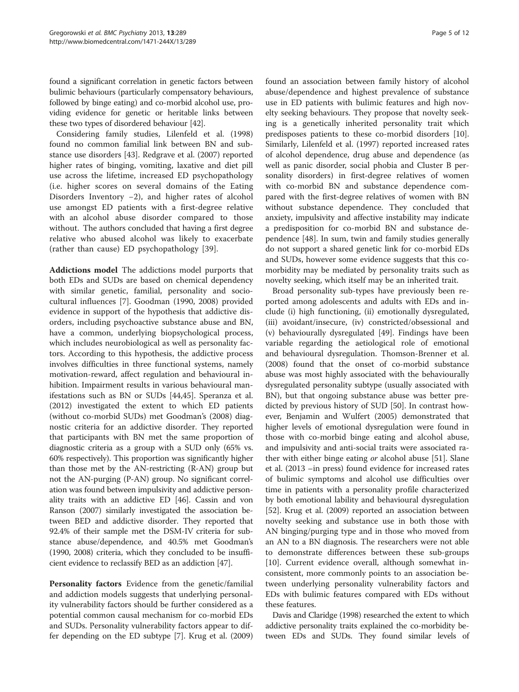found a significant correlation in genetic factors between bulimic behaviours (particularly compensatory behaviours, followed by binge eating) and co-morbid alcohol use, providing evidence for genetic or heritable links between these two types of disordered behaviour [\[42\]](#page-10-0).

Considering family studies, Lilenfeld et al. (1998) found no common familial link between BN and substance use disorders [\[43](#page-10-0)]. Redgrave et al. (2007) reported higher rates of binging, vomiting, laxative and diet pill use across the lifetime, increased ED psychopathology (i.e. higher scores on several domains of the Eating Disorders Inventory −2), and higher rates of alcohol use amongst ED patients with a first-degree relative with an alcohol abuse disorder compared to those without. The authors concluded that having a first degree relative who abused alcohol was likely to exacerbate (rather than cause) ED psychopathology [\[39](#page-10-0)].

Addictions model The addictions model purports that both EDs and SUDs are based on chemical dependency with similar genetic, familial, personality and sociocultural influences [\[7](#page-9-0)]. Goodman (1990, 2008) provided evidence in support of the hypothesis that addictive disorders, including psychoactive substance abuse and BN, have a common, underlying biopsychological process, which includes neurobiological as well as personality factors. According to this hypothesis, the addictive process involves difficulties in three functional systems, namely motivation-reward, affect regulation and behavioural inhibition. Impairment results in various behavioural manifestations such as BN or SUDs [[44](#page-10-0),[45](#page-10-0)]. Speranza et al. (2012) investigated the extent to which ED patients (without co-morbid SUDs) met Goodman's (2008) diagnostic criteria for an addictive disorder. They reported that participants with BN met the same proportion of diagnostic criteria as a group with a SUD only (65% vs. 60% respectively). This proportion was significantly higher than those met by the AN-restricting (R-AN) group but not the AN-purging (P-AN) group. No significant correlation was found between impulsivity and addictive personality traits with an addictive ED [\[46\]](#page-10-0). Cassin and von Ranson (2007) similarly investigated the association between BED and addictive disorder. They reported that 92.4% of their sample met the DSM-IV criteria for substance abuse/dependence, and 40.5% met Goodman's (1990, 2008) criteria, which they concluded to be insufficient evidence to reclassify BED as an addiction [\[47\]](#page-10-0).

Personality factors Evidence from the genetic/familial and addiction models suggests that underlying personality vulnerability factors should be further considered as a potential common causal mechanism for co-morbid EDs and SUDs. Personality vulnerability factors appear to differ depending on the ED subtype [[7\]](#page-9-0). Krug et al. (2009)

found an association between family history of alcohol abuse/dependence and highest prevalence of substance use in ED patients with bulimic features and high novelty seeking behaviours. They propose that novelty seeking is a genetically inherited personality trait which predisposes patients to these co-morbid disorders [\[10](#page-9-0)]. Similarly, Lilenfeld et al. (1997) reported increased rates of alcohol dependence, drug abuse and dependence (as well as panic disorder, social phobia and Cluster B personality disorders) in first-degree relatives of women with co-morbid BN and substance dependence compared with the first-degree relatives of women with BN without substance dependence. They concluded that anxiety, impulsivity and affective instability may indicate a predisposition for co-morbid BN and substance dependence [[48\]](#page-10-0). In sum, twin and family studies generally do not support a shared genetic link for co-morbid EDs and SUDs, however some evidence suggests that this comorbidity may be mediated by personality traits such as novelty seeking, which itself may be an inherited trait.

Broad personality sub-types have previously been reported among adolescents and adults with EDs and include (i) high functioning, (ii) emotionally dysregulated, (iii) avoidant/insecure, (iv) constricted/obsessional and (v) behaviourally dysregulated [\[49](#page-10-0)]. Findings have been variable regarding the aetiological role of emotional and behavioural dysregulation. Thomson-Brenner et al. (2008) found that the onset of co-morbid substance abuse was most highly associated with the behaviourally dysregulated personality subtype (usually associated with BN), but that ongoing substance abuse was better predicted by previous history of SUD [\[50](#page-10-0)]. In contrast however, Benjamin and Wulfert (2005) demonstrated that higher levels of emotional dysregulation were found in those with co-morbid binge eating and alcohol abuse, and impulsivity and anti-social traits were associated rather with either binge eating or alcohol abuse [[51](#page-10-0)]. Slane et al. (2013 –in press) found evidence for increased rates of bulimic symptoms and alcohol use difficulties over time in patients with a personality profile characterized by both emotional lability and behavioural dysregulation [[52\]](#page-10-0). Krug et al. (2009) reported an association between novelty seeking and substance use in both those with AN binging/purging type and in those who moved from an AN to a BN diagnosis. The researchers were not able to demonstrate differences between these sub-groups [[10\]](#page-9-0). Current evidence overall, although somewhat inconsistent, more commonly points to an association between underlying personality vulnerability factors and EDs with bulimic features compared with EDs without these features.

Davis and Claridge (1998) researched the extent to which addictive personality traits explained the co-morbidity between EDs and SUDs. They found similar levels of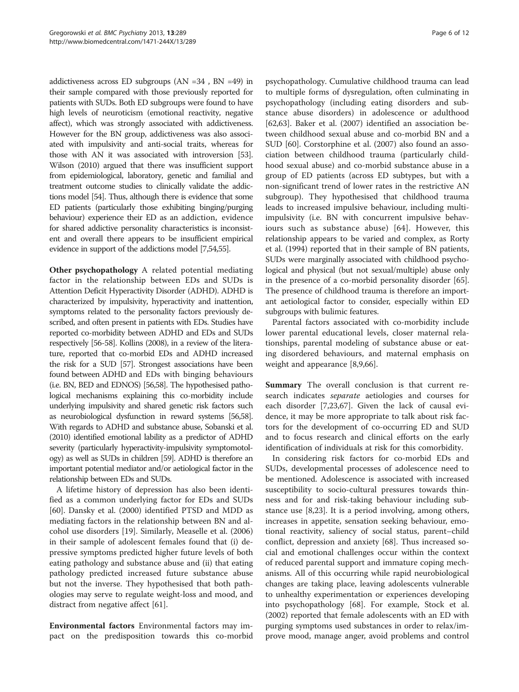addictiveness across ED subgroups (AN =34 , BN =49) in their sample compared with those previously reported for patients with SUDs. Both ED subgroups were found to have high levels of neuroticism (emotional reactivity, negative affect), which was strongly associated with addictiveness. However for the BN group, addictiveness was also associated with impulsivity and anti-social traits, whereas for those with AN it was associated with introversion [\[53](#page-10-0)]. Wilson (2010) argued that there was insufficient support from epidemiological, laboratory, genetic and familial and treatment outcome studies to clinically validate the addictions model [[54\]](#page-10-0). Thus, although there is evidence that some ED patients (particularly those exhibiting binging/purging behaviour) experience their ED as an addiction, evidence for shared addictive personality characteristics is inconsistent and overall there appears to be insufficient empirical evidence in support of the addictions model [[7](#page-9-0)[,54,55\]](#page-10-0).

Other psychopathology A related potential mediating factor in the relationship between EDs and SUDs is Attention Deficit Hyperactivity Disorder (ADHD). ADHD is characterized by impulsivity, hyperactivity and inattention, symptoms related to the personality factors previously described, and often present in patients with EDs. Studies have reported co-morbidity between ADHD and EDs and SUDs respectively [\[56-58](#page-10-0)]. Kollins (2008), in a review of the literature, reported that co-morbid EDs and ADHD increased the risk for a SUD [\[57](#page-10-0)]. Strongest associations have been found between ADHD and EDs with binging behaviours (i.e. BN, BED and EDNOS) [\[56,58\]](#page-10-0). The hypothesised pathological mechanisms explaining this co-morbidity include underlying impulsivity and shared genetic risk factors such as neurobiological dysfunction in reward systems [\[56,58\]](#page-10-0). With regards to ADHD and substance abuse, Sobanski et al. (2010) identified emotional lability as a predictor of ADHD severity (particularly hyperactivity-impulsivity symptomotology) as well as SUDs in children [\[59\]](#page-10-0). ADHD is therefore an important potential mediator and/or aetiological factor in the relationship between EDs and SUDs.

A lifetime history of depression has also been identified as a common underlying factor for EDs and SUDs [[60\]](#page-10-0). Dansky et al. (2000) identified PTSD and MDD as mediating factors in the relationship between BN and alcohol use disorders [[19\]](#page-10-0). Similarly, Measelle et al. (2006) in their sample of adolescent females found that (i) depressive symptoms predicted higher future levels of both eating pathology and substance abuse and (ii) that eating pathology predicted increased future substance abuse but not the inverse. They hypothesised that both pathologies may serve to regulate weight-loss and mood, and distract from negative affect [[61](#page-10-0)].

Environmental factors Environmental factors may impact on the predisposition towards this co-morbid

psychopathology. Cumulative childhood trauma can lead to multiple forms of dysregulation, often culminating in psychopathology (including eating disorders and substance abuse disorders) in adolescence or adulthood [[62,63\]](#page-10-0). Baker et al. (2007) identified an association between childhood sexual abuse and co-morbid BN and a SUD [\[60](#page-10-0)]. Corstorphine et al. (2007) also found an association between childhood trauma (particularly childhood sexual abuse) and co-morbid substance abuse in a group of ED patients (across ED subtypes, but with a non-significant trend of lower rates in the restrictive AN subgroup). They hypothesised that childhood trauma leads to increased impulsive behaviour, including multiimpulsivity (i.e. BN with concurrent impulsive behaviours such as substance abuse) [\[64\]](#page-10-0). However, this relationship appears to be varied and complex, as Rorty et al. (1994) reported that in their sample of BN patients, SUDs were marginally associated with childhood psychological and physical (but not sexual/multiple) abuse only in the presence of a co-morbid personality disorder [[65](#page-10-0)]. The presence of childhood trauma is therefore an important aetiological factor to consider, especially within ED subgroups with bulimic features.

Parental factors associated with co-morbidity include lower parental educational levels, closer maternal relationships, parental modeling of substance abuse or eating disordered behaviours, and maternal emphasis on weight and appearance [[8,9,](#page-9-0)[66\]](#page-10-0).

Summary The overall conclusion is that current research indicates separate aetiologies and courses for each disorder [[7,](#page-9-0)[23,](#page-10-0)[67\]](#page-11-0). Given the lack of causal evidence, it may be more appropriate to talk about risk factors for the development of co-occurring ED and SUD and to focus research and clinical efforts on the early identification of individuals at risk for this comorbidity.

In considering risk factors for co-morbid EDs and SUDs, developmental processes of adolescence need to be mentioned. Adolescence is associated with increased susceptibility to socio-cultural pressures towards thinness and for and risk-taking behaviour including substance use [[8,](#page-9-0)[23\]](#page-10-0). It is a period involving, among others, increases in appetite, sensation seeking behaviour, emotional reactivity, saliency of social status, parent–child conflict, depression and anxiety [[68\]](#page-11-0). Thus increased social and emotional challenges occur within the context of reduced parental support and immature coping mechanisms. All of this occurring while rapid neurobiological changes are taking place, leaving adolescents vulnerable to unhealthy experimentation or experiences developing into psychopathology [\[68](#page-11-0)]. For example, Stock et al. (2002) reported that female adolescents with an ED with purging symptoms used substances in order to relax/improve mood, manage anger, avoid problems and control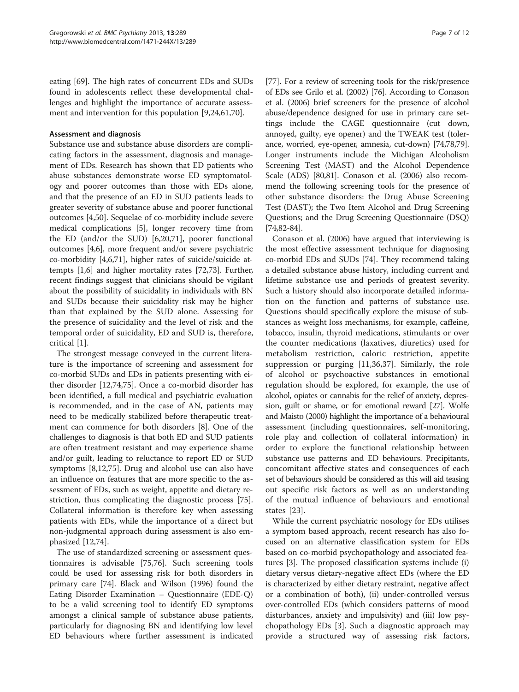eating [[69\]](#page-11-0). The high rates of concurrent EDs and SUDs found in adolescents reflect these developmental challenges and highlight the importance of accurate assessment and intervention for this population [\[9](#page-9-0)[,24,61](#page-10-0)[,70](#page-11-0)].

#### Assessment and diagnosis

Substance use and substance abuse disorders are complicating factors in the assessment, diagnosis and management of EDs. Research has shown that ED patients who abuse substances demonstrate worse ED symptomatology and poorer outcomes than those with EDs alone, and that the presence of an ED in SUD patients leads to greater severity of substance abuse and poorer functional outcomes [\[4](#page-9-0)[,50](#page-10-0)]. Sequelae of co-morbidity include severe medical complications [\[5](#page-9-0)], longer recovery time from the ED (and/or the SUD) [[6](#page-9-0),[20](#page-10-0),[71](#page-11-0)], poorer functional outcomes [[4,6\]](#page-9-0), more frequent and/or severe psychiatric co-morbidity [[4,6,](#page-9-0)[71\]](#page-11-0), higher rates of suicide/suicide attempts [[1,6\]](#page-9-0) and higher mortality rates [\[72,73](#page-11-0)]. Further, recent findings suggest that clinicians should be vigilant about the possibility of suicidality in individuals with BN and SUDs because their suicidality risk may be higher than that explained by the SUD alone. Assessing for the presence of suicidality and the level of risk and the temporal order of suicidality, ED and SUD is, therefore, critical [\[1](#page-9-0)].

The strongest message conveyed in the current literature is the importance of screening and assessment for co-morbid SUDs and EDs in patients presenting with either disorder [\[12](#page-9-0)[,74,75\]](#page-11-0). Once a co-morbid disorder has been identified, a full medical and psychiatric evaluation is recommended, and in the case of AN, patients may need to be medically stabilized before therapeutic treatment can commence for both disorders [[8](#page-9-0)]. One of the challenges to diagnosis is that both ED and SUD patients are often treatment resistant and may experience shame and/or guilt, leading to reluctance to report ED or SUD symptoms [\[8,12](#page-9-0)[,75\]](#page-11-0). Drug and alcohol use can also have an influence on features that are more specific to the assessment of EDs, such as weight, appetite and dietary restriction, thus complicating the diagnostic process [\[75](#page-11-0)]. Collateral information is therefore key when assessing patients with EDs, while the importance of a direct but non-judgmental approach during assessment is also emphasized [\[12,](#page-9-0)[74\]](#page-11-0).

The use of standardized screening or assessment questionnaires is advisable [\[75,76](#page-11-0)]. Such screening tools could be used for assessing risk for both disorders in primary care [\[74](#page-11-0)]. Black and Wilson (1996) found the Eating Disorder Examination – Questionnaire (EDE-Q) to be a valid screening tool to identify ED symptoms amongst a clinical sample of substance abuse patients, particularly for diagnosing BN and identifying low level ED behaviours where further assessment is indicated

[[77\]](#page-11-0). For a review of screening tools for the risk/presence of EDs see Grilo et al. (2002) [\[76\]](#page-11-0). According to Conason et al. (2006) brief screeners for the presence of alcohol abuse/dependence designed for use in primary care settings include the CAGE questionnaire (cut down, annoyed, guilty, eye opener) and the TWEAK test (tolerance, worried, eye-opener, amnesia, cut-down) [\[74,78,79](#page-11-0)]. Longer instruments include the Michigan Alcoholism Screening Test (MAST) and the Alcohol Dependence Scale (ADS) [[80,81\]](#page-11-0). Conason et al. (2006) also recommend the following screening tools for the presence of other substance disorders: the Drug Abuse Screening Test (DAST); the Two Item Alcohol and Drug Screening Questions; and the Drug Screening Questionnaire (DSQ) [[74](#page-11-0),[82](#page-11-0)-[84](#page-11-0)].

Conason et al. (2006) have argued that interviewing is the most effective assessment technique for diagnosing co-morbid EDs and SUDs [[74\]](#page-11-0). They recommend taking a detailed substance abuse history, including current and lifetime substance use and periods of greatest severity. Such a history should also incorporate detailed information on the function and patterns of substance use. Questions should specifically explore the misuse of substances as weight loss mechanisms, for example, caffeine, tobacco, insulin, thyroid medications, stimulants or over the counter medications (laxatives, diuretics) used for metabolism restriction, caloric restriction, appetite suppression or purging [\[11](#page-9-0),[36,37](#page-10-0)]. Similarly, the role of alcohol or psychoactive substances in emotional regulation should be explored, for example, the use of alcohol, opiates or cannabis for the relief of anxiety, depression, guilt or shame, or for emotional reward [\[27\]](#page-10-0). Wolfe and Maisto (2000) highlight the importance of a behavioural assessment (including questionnaires, self-monitoring, role play and collection of collateral information) in order to explore the functional relationship between substance use patterns and ED behaviours. Precipitants, concomitant affective states and consequences of each set of behaviours should be considered as this will aid teasing out specific risk factors as well as an understanding of the mutual influence of behaviours and emotional states [\[23](#page-10-0)].

While the current psychiatric nosology for EDs utilises a symptom based approach, recent research has also focused on an alternative classification system for EDs based on co-morbid psychopathology and associated features [[3\]](#page-9-0). The proposed classification systems include (i) dietary versus dietary-negative affect EDs (where the ED is characterized by either dietary restraint, negative affect or a combination of both), (ii) under-controlled versus over-controlled EDs (which considers patterns of mood disturbances, anxiety and impulsivity) and (iii) low psychopathology EDs [\[3](#page-9-0)]. Such a diagnostic approach may provide a structured way of assessing risk factors,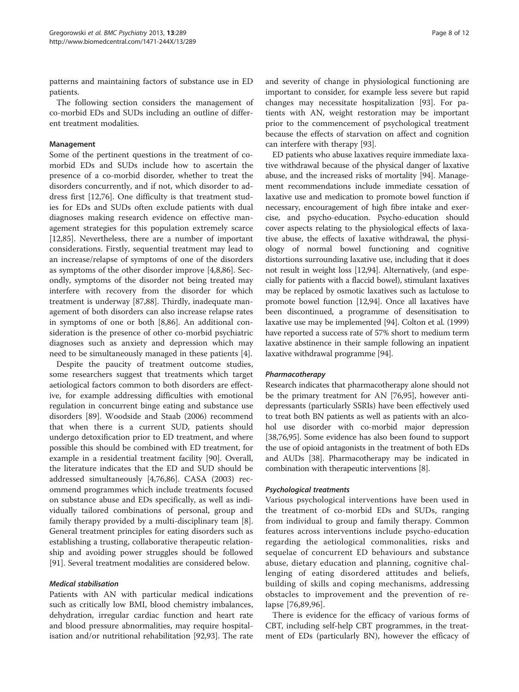patterns and maintaining factors of substance use in ED patients.

The following section considers the management of co-morbid EDs and SUDs including an outline of different treatment modalities.

## Management

Some of the pertinent questions in the treatment of comorbid EDs and SUDs include how to ascertain the presence of a co-morbid disorder, whether to treat the disorders concurrently, and if not, which disorder to address first [\[12](#page-9-0)[,76\]](#page-11-0). One difficulty is that treatment studies for EDs and SUDs often exclude patients with dual diagnoses making research evidence on effective management strategies for this population extremely scarce [[12,](#page-9-0)[85\]](#page-11-0). Nevertheless, there are a number of important considerations. Firstly, sequential treatment may lead to an increase/relapse of symptoms of one of the disorders as symptoms of the other disorder improve [[4,8,](#page-9-0)[86\]](#page-11-0). Secondly, symptoms of the disorder not being treated may interfere with recovery from the disorder for which treatment is underway [\[87,88](#page-11-0)]. Thirdly, inadequate management of both disorders can also increase relapse rates in symptoms of one or both [[8,](#page-9-0)[86](#page-11-0)]. An additional consideration is the presence of other co-morbid psychiatric diagnoses such as anxiety and depression which may need to be simultaneously managed in these patients [\[4](#page-9-0)].

Despite the paucity of treatment outcome studies, some researchers suggest that treatments which target aetiological factors common to both disorders are effective, for example addressing difficulties with emotional regulation in concurrent binge eating and substance use disorders [\[89](#page-11-0)]. Woodside and Staab (2006) recommend that when there is a current SUD, patients should undergo detoxification prior to ED treatment, and where possible this should be combined with ED treatment, for example in a residential treatment facility [\[90](#page-11-0)]. Overall, the literature indicates that the ED and SUD should be addressed simultaneously [[4,](#page-9-0)[76,86\]](#page-11-0). CASA (2003) recommend programmes which include treatments focused on substance abuse and EDs specifically, as well as individually tailored combinations of personal, group and family therapy provided by a multi-disciplinary team [\[8](#page-9-0)]. General treatment principles for eating disorders such as establishing a trusting, collaborative therapeutic relationship and avoiding power struggles should be followed [[91\]](#page-11-0). Several treatment modalities are considered below.

#### Medical stabilisation

Patients with AN with particular medical indications such as critically low BMI, blood chemistry imbalances, dehydration, irregular cardiac function and heart rate and blood pressure abnormalities, may require hospitalisation and/or nutritional rehabilitation [\[92,93\]](#page-11-0). The rate

and severity of change in physiological functioning are important to consider, for example less severe but rapid changes may necessitate hospitalization [[93](#page-11-0)]. For patients with AN, weight restoration may be important prior to the commencement of psychological treatment because the effects of starvation on affect and cognition can interfere with therapy [[93\]](#page-11-0).

ED patients who abuse laxatives require immediate laxative withdrawal because of the physical danger of laxative abuse, and the increased risks of mortality [[94](#page-11-0)]. Management recommendations include immediate cessation of laxative use and medication to promote bowel function if necessary, encouragement of high fibre intake and exercise, and psycho-education. Psycho-education should cover aspects relating to the physiological effects of laxative abuse, the effects of laxative withdrawal, the physiology of normal bowel functioning and cognitive distortions surrounding laxative use, including that it does not result in weight loss [\[12,](#page-9-0)[94](#page-11-0)]. Alternatively, (and especially for patients with a flaccid bowel), stimulant laxatives may be replaced by osmotic laxatives such as lactulose to promote bowel function [\[12,](#page-9-0)[94](#page-11-0)]. Once all laxatives have been discontinued, a programme of desensitisation to laxative use may be implemented [[94](#page-11-0)]. Colton et al. (1999) have reported a success rate of 57% short to medium term laxative abstinence in their sample following an inpatient laxative withdrawal programme [\[94](#page-11-0)].

#### Pharmacotherapy

Research indicates that pharmacotherapy alone should not be the primary treatment for AN [\[76,95\]](#page-11-0), however antidepressants (particularly SSRIs) have been effectively used to treat both BN patients as well as patients with an alcohol use disorder with co-morbid major depression [[38](#page-10-0)[,76,95\]](#page-11-0). Some evidence has also been found to support the use of opioid antagonists in the treatment of both EDs and AUDs [\[38\]](#page-10-0). Pharmacotherapy may be indicated in combination with therapeutic interventions [[8\]](#page-9-0).

#### Psychological treatments

Various psychological interventions have been used in the treatment of co-morbid EDs and SUDs, ranging from individual to group and family therapy. Common features across interventions include psycho-education regarding the aetiological commonalities, risks and sequelae of concurrent ED behaviours and substance abuse, dietary education and planning, cognitive challenging of eating disordered attitudes and beliefs, building of skills and coping mechanisms, addressing obstacles to improvement and the prevention of relapse [\[76,89,96\]](#page-11-0).

There is evidence for the efficacy of various forms of CBT, including self-help CBT programmes, in the treatment of EDs (particularly BN), however the efficacy of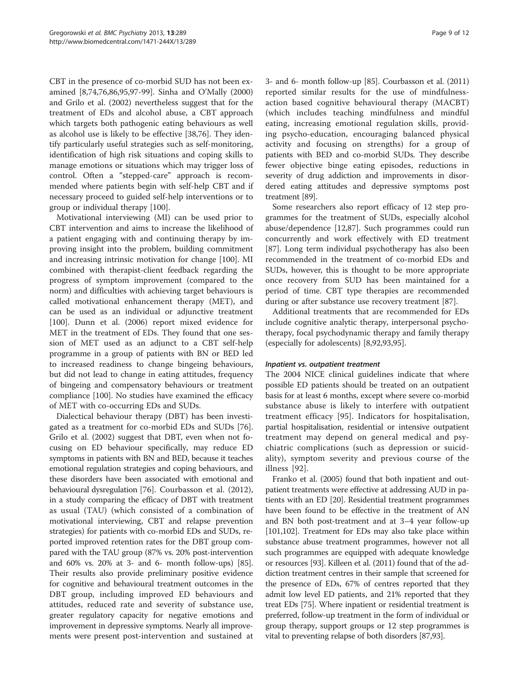CBT in the presence of co-morbid SUD has not been examined [\[8](#page-9-0)[,74,76,86,95,97-99](#page-11-0)]. Sinha and O'Mally (2000) and Grilo et al. (2002) nevertheless suggest that for the treatment of EDs and alcohol abuse, a CBT approach which targets both pathogenic eating behaviours as well as alcohol use is likely to be effective [\[38](#page-10-0)[,76](#page-11-0)]. They identify particularly useful strategies such as self-monitoring, identification of high risk situations and coping skills to manage emotions or situations which may trigger loss of control. Often a "stepped-care" approach is recommended where patients begin with self-help CBT and if necessary proceed to guided self-help interventions or to group or individual therapy [\[100](#page-11-0)].

Motivational interviewing (MI) can be used prior to CBT intervention and aims to increase the likelihood of a patient engaging with and continuing therapy by improving insight into the problem, building commitment and increasing intrinsic motivation for change [[100](#page-11-0)]. MI combined with therapist-client feedback regarding the progress of symptom improvement (compared to the norm) and difficulties with achieving target behaviours is called motivational enhancement therapy (MET), and can be used as an individual or adjunctive treatment [[100\]](#page-11-0). Dunn et al. (2006) report mixed evidence for MET in the treatment of EDs. They found that one session of MET used as an adjunct to a CBT self-help programme in a group of patients with BN or BED led to increased readiness to change bingeing behaviours, but did not lead to change in eating attitudes, frequency of bingeing and compensatory behaviours or treatment compliance [[100](#page-11-0)]. No studies have examined the efficacy of MET with co-occurring EDs and SUDs.

Dialectical behaviour therapy (DBT) has been investigated as a treatment for co-morbid EDs and SUDs [\[76](#page-11-0)]. Grilo et al. (2002) suggest that DBT, even when not focusing on ED behaviour specifically, may reduce ED symptoms in patients with BN and BED, because it teaches emotional regulation strategies and coping behaviours, and these disorders have been associated with emotional and behavioural dysregulation [[76\]](#page-11-0). Courbasson et al. (2012), in a study comparing the efficacy of DBT with treatment as usual (TAU) (which consisted of a combination of motivational interviewing, CBT and relapse prevention strategies) for patients with co-morbid EDs and SUDs, reported improved retention rates for the DBT group compared with the TAU group (87% vs. 20% post-intervention and 60% vs. 20% at 3- and 6- month follow-ups) [[85](#page-11-0)]. Their results also provide preliminary positive evidence for cognitive and behavioural treatment outcomes in the DBT group, including improved ED behaviours and attitudes, reduced rate and severity of substance use, greater regulatory capacity for negative emotions and improvement in depressive symptoms. Nearly all improvements were present post-intervention and sustained at 3- and 6- month follow-up [\[85\]](#page-11-0). Courbasson et al. (2011) reported similar results for the use of mindfulnessaction based cognitive behavioural therapy (MACBT) (which includes teaching mindfulness and mindful eating, increasing emotional regulation skills, providing psycho-education, encouraging balanced physical activity and focusing on strengths) for a group of patients with BED and co-morbid SUDs. They describe fewer objective binge eating episodes, reductions in severity of drug addiction and improvements in disordered eating attitudes and depressive symptoms post treatment [[89](#page-11-0)].

Some researchers also report efficacy of 12 step programmes for the treatment of SUDs, especially alcohol abuse/dependence [[12,](#page-9-0)[87\]](#page-11-0). Such programmes could run concurrently and work effectively with ED treatment [[87\]](#page-11-0). Long term individual psychotherapy has also been recommended in the treatment of co-morbid EDs and SUDs, however, this is thought to be more appropriate once recovery from SUD has been maintained for a period of time. CBT type therapies are recommended during or after substance use recovery treatment [[87](#page-11-0)].

Additional treatments that are recommended for EDs include cognitive analytic therapy, interpersonal psychotherapy, focal psychodynamic therapy and family therapy (especially for adolescents) [\[8](#page-9-0)[,92,93,95](#page-11-0)].

#### Inpatient vs. outpatient treatment

The 2004 NICE clinical guidelines indicate that where possible ED patients should be treated on an outpatient basis for at least 6 months, except where severe co-morbid substance abuse is likely to interfere with outpatient treatment efficacy [\[95\]](#page-11-0). Indicators for hospitalisation, partial hospitalisation, residential or intensive outpatient treatment may depend on general medical and psychiatric complications (such as depression or suicidality), symptom severity and previous course of the illness [\[92\]](#page-11-0).

Franko et al. (2005) found that both inpatient and outpatient treatments were effective at addressing AUD in patients with an ED [[20](#page-10-0)]. Residential treatment programmes have been found to be effective in the treatment of AN and BN both post-treatment and at 3–4 year follow-up [[101,102\]](#page-11-0). Treatment for EDs may also take place within substance abuse treatment programmes, however not all such programmes are equipped with adequate knowledge or resources [\[93\]](#page-11-0). Killeen et al. (2011) found that of the addiction treatment centres in their sample that screened for the presence of EDs, 67% of centres reported that they admit low level ED patients, and 21% reported that they treat EDs [\[75\]](#page-11-0). Where inpatient or residential treatment is preferred, follow-up treatment in the form of individual or group therapy, support groups or 12 step programmes is vital to preventing relapse of both disorders [\[87,93\]](#page-11-0).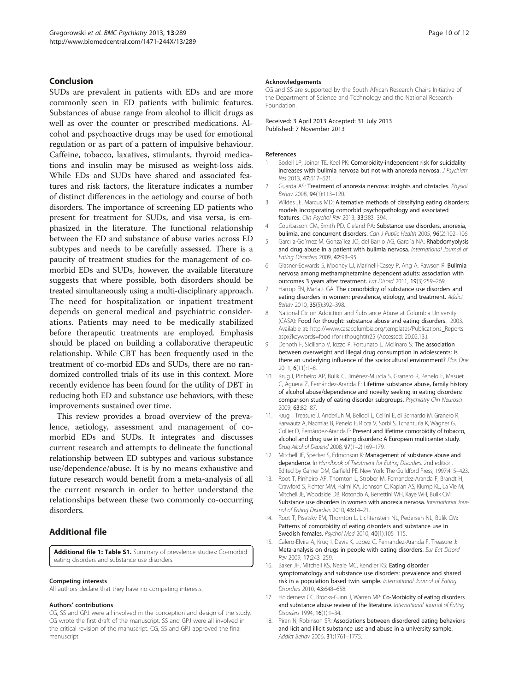#### <span id="page-9-0"></span>Conclusion

SUDs are prevalent in patients with EDs and are more commonly seen in ED patients with bulimic features. Substances of abuse range from alcohol to illicit drugs as well as over the counter or prescribed medications. Alcohol and psychoactive drugs may be used for emotional regulation or as part of a pattern of impulsive behaviour. Caffeine, tobacco, laxatives, stimulants, thyroid medications and insulin may be misused as weight-loss aids. While EDs and SUDs have shared and associated features and risk factors, the literature indicates a number of distinct differences in the aetiology and course of both disorders. The importance of screening ED patients who present for treatment for SUDs, and visa versa, is emphasized in the literature. The functional relationship between the ED and substance of abuse varies across ED subtypes and needs to be carefully assessed. There is a paucity of treatment studies for the management of comorbid EDs and SUDs, however, the available literature suggests that where possible, both disorders should be treated simultaneously using a multi-disciplinary approach. The need for hospitalization or inpatient treatment depends on general medical and psychiatric considerations. Patients may need to be medically stabilized before therapeutic treatments are employed. Emphasis should be placed on building a collaborative therapeutic relationship. While CBT has been frequently used in the treatment of co-morbid EDs and SUDs, there are no randomized controlled trials of its use in this context. More recently evidence has been found for the utility of DBT in reducing both ED and substance use behaviors, with these improvements sustained over time.

This review provides a broad overview of the prevalence, aetiology, assessment and management of comorbid EDs and SUDs. It integrates and discusses current research and attempts to delineate the functional relationship between ED subtypes and various substance use/dependence/abuse. It is by no means exhaustive and future research would benefit from a meta-analysis of all the current research in order to better understand the relationships between these two commonly co-occurring disorders.

# Additional file

[Additional file 1: Table S1.](http://www.biomedcentral.com/content/supplementary/1471-244X-13-289-S1.doc) Summary of prevalence studies: Co-morbid eating disorders and substance use disorders.

#### Competing interests

All authors declare that they have no competing interests.

#### Authors' contributions

CG, SS and GPJ were all involved in the conception and design of the study. CG wrote the first draft of the manuscript. SS and GPJ were all involved in the critical revision of the manuscript. CG, SS and GPJ approved the final manuscript.

#### Acknowledgements

CG and SS are supported by the South African Research Chairs Initiative of the Department of Science and Technology and the National Research Foundation.

Received: 3 April 2013 Accepted: 31 July 2013 Published: 7 November 2013

#### References

- 1. Bodell LP, Joiner TE, Keel PK: Comorbidity-independent risk for suicidality increases with bulimia nervosa but not with anorexia nervosa. J Psychiatr Res 2013, 47:617–621.
- 2. Guarda AS: Treatment of anorexia nervosa: insights and obstacles. *Physiol* Behav 2008, 94(1):113–120.
- 3. Wildes JE, Marcus MD: Alternative methods of classifying eating disorders: models incorporating comorbid psychopathology and associated features. Clin Psychol Rev 2013, 33:383–394.
- 4. Courbasson CM, Smith PD, Cleland PA: Substance use disorders, anorexia, bulimia, and concurrent disorders. Can J Public Health 2005, 96(2):102-106.
- 5. Garcı'a-Go'mez M, Gonza'lez JO, del Barrio AG, Garcı'a NA: Rhabdomyolysis and drug abuse in a patient with bulimia nervosa. International Journal of Eating Disorders 2009, 42:93–95.
- 6. Glasner-Edwards S, Mooney LJ, Marinelli-Casey P, Ang A, Rawson R: Bulimia nervosa among methamphetamine dependent adults: association with outcomes 3 years after treatment. Eat Disord 2011, 19(3):259–269.
- 7. Harrop EN, Marlatt GA: The comorbidity of substance use disorders and eating disorders in women: prevalence, etiology, and treatment. Addict Behav 2010, 35(5):392–398.
- 8. National Ctr on Addiction and Substance Abuse at Columbia University (CASA): Food for thought: substance abuse and eating disorders. 2003. Available at: [http://www.casacolumbia.org/templates/Publications\\_Reports.](http://www.casacolumbia.org/templates/Publications_Reports.aspx?keywords=food+for+thought#r25) [aspx?keywords=food+for+thought#r25](http://www.casacolumbia.org/templates/Publications_Reports.aspx?keywords=food+for+thought#r25) (Accessed: 20.02.13.).
- 9. Denoth F, Siciliano V, Iozzo P, Fortunato L, Molinaro S: The association between overweight and illegal drug consumption in adolescents: is there an underlying influence of the sociocultural environment? Plos One 2011, 6(11):1–8.
- 10. Krug I, Pinheiro AP, Bulik C, Jiménez-Murcia S, Granero R, Penelo E, Masuet C, Agüera Z, Fernández-Aranda F: Lifetime substance abuse, family history of alcohol abuse/dependence and novelty seeking in eating disorders: comparison study of eating disorder subgroups. Psychiatry Clin Neurosci 2009, 63:82–87.
- 11. Krug I, Treasure J, Anderluh M, Bellodi L, Cellini E, di Bernardo M, Granero R, Karwautz A, Nacmias B, Penelo E, Ricca V, Sorbi S, Tchanturia K, Wagner G, Collier D, Fernández-Aranda F: Present and lifetime comorbidity of tobacco, alcohol and drug use in eating disorders: A European multicenter study. Drug Alcohol Depend 2008, 97(1–2):169–179.
- 12. Mitchell JE, Specker S, Edmonson K: Management of substance abuse and dependence. In Handbook of Treatment for Eating Disorders. 2nd edition. Edited by Garner DM, Garfield PE. New York: The Guildford Press; 1997:415–423.
- 13. Root T, Pinheiro AP, Thornton L, Strober M, Fernandez-Aranda F, Brandt H, Crawford S, Fichter MM, Halmi KA, Johnson C, Kaplan AS, Klump KL, La Vie M, Mitchell JE, Woodside DB, Rotondo A, Berrettini WH, Kaye WH, Bulik CM: Substance use disorders in women with anorexia nervosa. International Journal of Eating Disorders 2010, 43:14–21.
- 14. Root T, Pisetsky EM, Thornton L, Lichtenstein NL, Pedersen NL, Bulik CM: Patterns of comorbidity of eating disorders and substance use in Swedish females. Psychol Med 2010, 40(1):105–115.
- 15. Calero-Elvira A, Krug I, Davis K, Lopez C, Fernandez-Aranda F, Treasure J: Meta-analysis on drugs in people with eating disorders. Eur Eat Disord Rev 2009, 17:243–259.
- 16. Baker JH, Mitchell KS, Neale MC, Kendler KS: Eating disorder symptomatology and substance use disorders: prevalence and shared risk in a population based twin sample. International Journal of Eating Disorders 2010, 43:648–658.
- 17. Holderness CC, Brooks-Gunn J, Warren MP: Co-Morbidity of eating disorders and substance abuse review of the literature. International Journal of Eating Disorders 1994, 16(1):1–34.
- 18. Piran N, Robinson SR: Associations between disordered eating behaviors and licit and illicit substance use and abuse in a university sample. Addict Behav 2006, 31:1761–1775.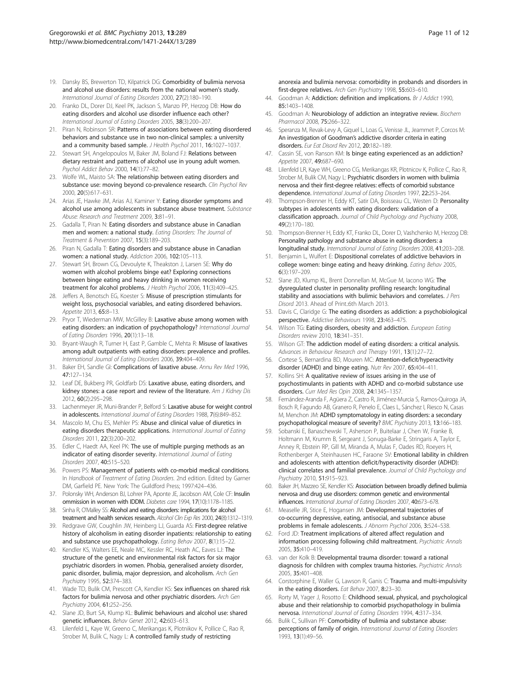- <span id="page-10-0"></span>19. Dansky BS, Brewerton TD, Kilpatrick DG: Comorbidity of bulimia nervosa and alcohol use disorders: results from the national women's study. International Journal of Eating Disorders 2000, 27(2):180–190.
- 20. Franko DL, Dorer DJ, Keel PK, Jackson S, Manzo PP, Herzog DB: How do eating disorders and alcohol use disorder influence each other? International Journal of Eating Disorders 2005, 38(3):200–207.
- 21. Piran N, Robinson SR: Patterns of associations between eating disordered behaviors and substance use in two non-clinical samples: a university and a community based sample. J Health Psychol 2011, 16:1027-1037.
- 22. Stewart SH, Angelopoulos M, Baker JM, Boland FJ: Relations between dietary restraint and patterns of alcohol use in young adult women. Psychol Addict Behav 2000, 14(1):77–82.
- 23. Wolfe WL, Maisto SA: The relationship between eating disorders and substance use: moving beyond co-prevalence research. Clin Psychol Rev 2000, 20(5):617–631.
- 24. Arias JE, Hawke JM, Arias AJ, Kaminer Y: Eating disorder symptoms and alcohol use among adolescents in substance abuse treatment. Substance Abuse: Research and Treatment 2009, 3:81–91.
- 25. Gadalla T, Piran N: Eating disorders and substance abuse in Canadian men and women: a national study. Eating Disorders: The Journal of Treatment & Prevention 2007, 15(3):189–203.
- 26. Piran N, Gadalla T: Eating disorders and substance abuse in Canadian women: a national study. Addiction 2006, 102:105–113.
- 27. Stewart SH, Brown CG, Devoulyte K, Theakston J, Larsen SE: Why do women with alcohol problems binge eat? Exploring connections between binge eating and heavy drinking in women receiving treatment for alcohol problems. J Health Psychol 2006, 11(3):409–425.
- 28. Jeffers A, Benotsch EG, Koester S: Misuse of prescription stimulants for weight loss, psychosocial variables, and eating disordered behaviors. Appetite 2013, 65:8–13.
- 29. Pryor T, Wiederman MW, McGilley B: Laxative abuse among women with eating disorders: an indication of psychopathology? International Journal of Eating Disorders 1996, 20(1):13–18.
- 30. Bryant-Waugh R, Turner H, East P, Gamble C, Mehta R: Misuse of laxatives among adult outpatients with eating disorders: prevalence and profiles. International Journal of Eating Disorders 2006, 39:404–409.
- 31. Baker EH, Sandle GI: Complications of laxative abuse. Annu Rev Med 1996, 47:127–134.
- 32. Leaf DE, Bukberg PR, Goldfarb DS: Laxative abuse, eating disorders, and kidney stones: a case report and review of the literature. Am J Kidney Dis 2012, 60(2):295–298.
- 33. Lachenmeyer JR, Muni-Brander P, Belford S: Laxative abuse for weight control in adolescents. International Journal of Eating Disorders 1988, 7(6):849-852.
- 34. Mascolo M, Chu ES, Mehler PS: Abuse and clinical value of diuretics in eating disorders therapeutic applications. International Journal of Eating Disorders 2011, 22(3):200–202.
- 35. Edler C, Haedt AA, Keel PK: The use of multiple purging methods as an indicator of eating disorder severity. International Journal of Eating Disorders 2007, 40:515–520.
- 36. Powers PS: Management of patients with co-morbid medical conditions. In Handbook of Treatment of Eating Disorders. 2nd edition. Edited by Garner DM, Garfield PE. New York: The Guildford Press; 1997:424–436.
- 37. Polonsky WH, Anderson BJ, Lohrer PA, Aponte JE, Jacobson AM, Cole CF: Insulin ommission in women with IDDM. Diabetes care 1994, 17(10):1178–1185.
- 38. Sinha R, O'Malley SS: Alcohol and eating disorders: implications for alcohol treatment and health services research. Alcohol Clin Exp Res 2000, 24(8):1312–1319.
- 39. Redgrave GW, Coughlin JW, Heinberg LJ, Guarda AS: First-degree relative history of alcoholism in eating disorder inpatients: relationship to eating and substance use psychopathology. Eating Behav 2007, 8(1):15-22.
- 40. Kendler KS, Walters EE, Neale MC, Kessler RC, Heath AC, Eaves LJ: The structure of the genetic and environmental risk factors for six major psychiatric disorders in women. Phobia, generalised anxiety disorder, panic disorder, bulimia, major depression, and alcoholism. Arch Gen Psychiatry 1995, 52:374–383.
- 41. Wade TD, Bulik CM, Prescott CA, Kendler KS: Sex influences on shared risk factors for bulimia nervosa and other psychiatric disorders. Arch Gen Psychiatry 2004, 61:252–256.
- 42. Slane JD, Burt SA, Klump KL: Bulimic behaviours and alcohol use: shared genetic influences. Behav Genet 2012, 42:603–613.
- 43. Lilenfeld L, Kaye W, Greeno C, Merikangas K, Plotnikov K, Pollice C, Rao R, Strober M, Bulik C, Nagy L: A controlled family study of restricting

anorexia and bulimia nervosa: comorbidity in probands and disorders in first-degree relatives. Arch Gen Psychiatry 1998, 55:603-610.

- 44. Goodman A: Addiction: definition and implications. Br J Addict 1990, 85:1403–1408.
- 45. Goodman A: Neurobiology of addiction an integrative review. Biochem Pharmacol 2008, 75:266–322.
- 46. Speranza M, Revak-Levy A, Giquel L, Loas G, Venisse JL, Jeammet P, Corcos M: An investigation of Goodman's addictive disorder criteria in eating disorders. Eur Eat Disord Rev 2012, 20:182–189.
- 47. Cassin SE, von Ranson KM: Is binge eating experienced as an addiction? Appetite 2007, 49:687-690.
- 48. Lilenfeld LR, Kaye WH, Greeno CG, Merikangas KR, Plotnicov K, Pollice C, Rao R, Strober M, Bulik CM, Nagy L: Psychiatric disorders in women with bulimia nervosa and their first-degree relatives: effects of comorbid substance dependence. International Journal of Eating Disorders 1997, 22:253-264
- 49. Thompson-Brenner H, Eddy KT, Satir DA, Boisseau CL, Westen D: Personality subtypes in adolescents with eating disorders: validation of a classification approach. Journal of Child Psychology and Psychiatry 2008, 49(2):170–180.
- 50. Thompson-Brenner H, Eddy KT, Franko DL, Dorer D, Vashchenko M, Herzog DB: Personality pathology and substance abuse in eating disorders: a longitudinal study. International Journal of Eating Disorders 2008, 41:203-208.
- 51. Benjamin L, Wulfert E: Dispositional correlates of addictive behaviors in college women: binge eating and heavy drinking. Eating Behav 2005, 6(3):197–209.
- 52. Slane JD, Klump KL, Brent Donnellan M, McGue M, Iacono WG: The dysregulated cluster in personality profiling research: longitudinal stability and associations with bulimic behaviors and correlates. J Pers Disord 2013. Ahead of Print.:6th March 2013.
- 53. Davis C, Claridge G: The eating disorders as addiction: a psychobiological perspective. Addictive Behaviours 1998, 23:463–475.
- 54. Wilson TG: Eating disorders, obesity and addiction. European Eating Disorders review 2010, 18:341–351.
- 55. Wilson GT: The addiction model of eating disorders: a critical analysis. Advances in Behaviour Research and Therapy 1991, 13(1):27–72.
- 56. Cortese S, Bernardina BD, Mouren MC: Attention-deficit/hyperactivity disorder (ADHD) and binge eating. Nutr Rev 2007, 65:404–411.
- 57. Kollins SH: A qualitative review of issues arising in the use of psychostimulants in patients with ADHD and co-morbid substance use disorders. Curr Med Res Opin 2008, 24:1345–1357.
- 58. Fernández-Aranda F, Agüera Z, Castro R, Jiménez-Murcia S, Ramos-Quiroga JA, Bosch R, Fagundo AB, Granero R, Penelo E, Claes L, Sánchez I, Riesco N, Casas M, Menchon JM: ADHD symptomatology in eating disorders: a secondary psychopathological measure of severity? BMC Psychiatry 2013, 13:166–183.
- Sobanski E, Banaschewski T, Asherson P, Buitelaar J, Chen W, Franke B, Holtmann M, Krumm B, Sergeant J, Sonuga-Barke E, Stringaris A, Taylor E, Anney R, Ebstein RP, Gill M, Miranda A, Mulas F, Oades RD, Roeyers H, Rothenberger A, Steinhausen HC, Faraone SV: Emotional lability in children and adolescents with attention deficit/hyperactivity disorder (ADHD): clinical correlates and familial prevalence. Journal of Child Psychology and Psychiatry 2010, 51:915–923.
- 60. Baker JH, Mazzeo SE, Kendler KS: Association between broadly defined bulimia nervosa and drug use disorders: common genetic and environmental influences. International Journal of Eating Disorders 2007, 40:673–678.
- 61. Measelle JR, Stice E, Hogansen JM: Developmental trajectories of co-occurring depressive, eating, antisocial, and substance abuse problems in female adolescents. J Abnorm Psychol 2006, 3:524-538.
- 62. Ford JD: Treatment implications of altered affect regulation and information processing following child maltreatment. Psychiatric Annals 2005, 35:410–419.
- 63. van der Kolk B: Developmental trauma disorder: toward a rational diagnosis for children with complex trauma histories. Psychiatric Annals 2005, 35:401–408.
- 64. Corstorphine E, Waller G, Lawson R, Ganis C: Trauma and multi-impulsivity in the eating disorders. Eat Behav 2007, 8:23–30.
- 65. Rorty M, Yager J, Rosotto E: Childhood sexual, physical, and psychological abuse and their relationship to comorbid psychopathology in bulimia nervosa. International Journal of Eating Disorders 1994, 4:317–334.
- 66. Bulik C, Sullivan PF: Comorbidity of bulimia and substance abuse: perceptions of family of origin. International Journal of Eating Disorders 1993, 13(1):49–56.